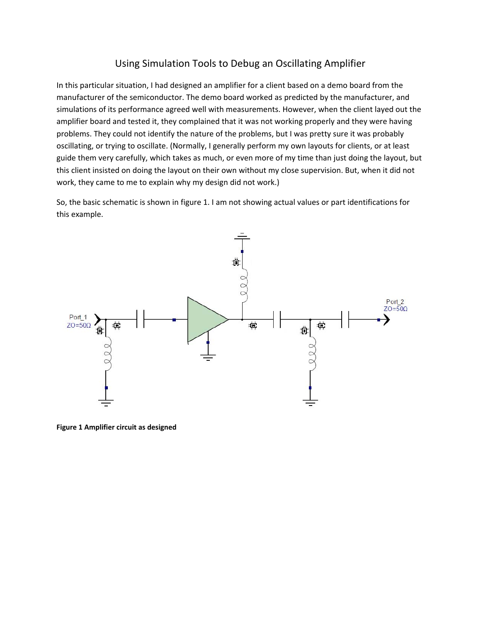## Using Simulation Tools to Debug an Oscillating Amplifier

## By Ed Troy

In this particular situation, I had designed an amplifier for a client based on a demo board from the manufacturer of the semiconductor. The demo board worked as predicted by the manufacturer, and simulations of its performance agreed well with measurements. However, when the client layed out the amplifier board and tested it, they complained that it was not working properly and they were having problems. They could not identify the nature of the problems, but I was pretty sure it was probably oscillating, or trying to oscillate. (Normally, I generally perform my own layouts for clients, or at least guide them very carefully, which takes as much, or even more of my time than just doing the layout, but this client insisted on doing the layout on their own without my close supervision. But, when it did not work, they came to me to explain why my design did not work.)

So, the basic schematic is shown in figure 1. I am not showing actual values or part identifications for this example.



**Figure 1 Amplifier circuit as designed**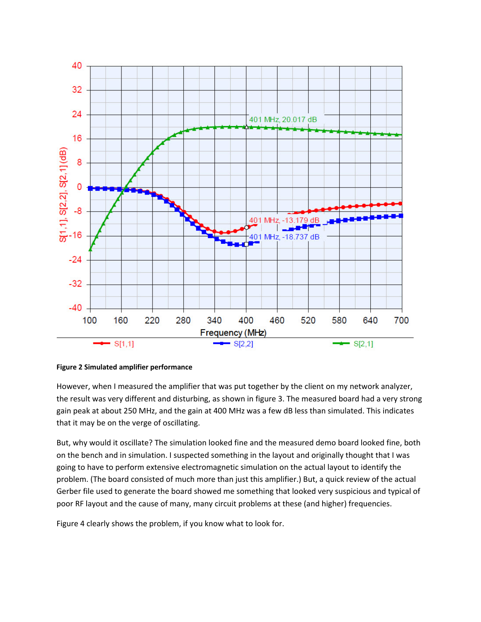

**Figure 2 Simulated amplifier performance**

However, when I measured the amplifier that was put together by the client on my network analyzer, the result was very different and disturbing, as shown in figure 3. The measured board had a very strong gain peak at about 250 MHz, and the gain at 400 MHz was a few dB less than simulated. This indicates that it may be on the verge of oscillating.

But, why would it oscillate? The simulation looked fine and the measured demo board looked fine, both on the bench and in simulation. I suspected something in the layout and originally thought that I was going to have to perform extensive electromagnetic simulation on the actual layout to identify the problem. (The board consisted of much more than just this amplifier.) But, a quick review of the actual Gerber file used to generate the board showed me something that looked very suspicious and typical of poor RF layout and the cause of many, many circuit problems at these (and higher) frequencies.

Figure 4 clearly shows the problem, if you know what to look for.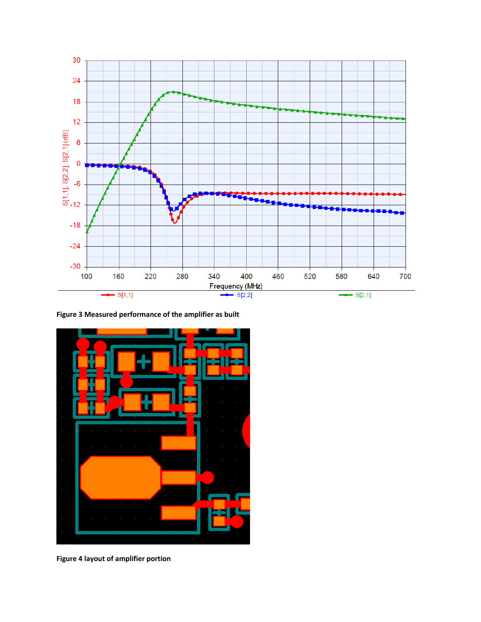

**Figure 3 Measured performance of the amplifier as built**



**Figure 4 layout of amplifier portion**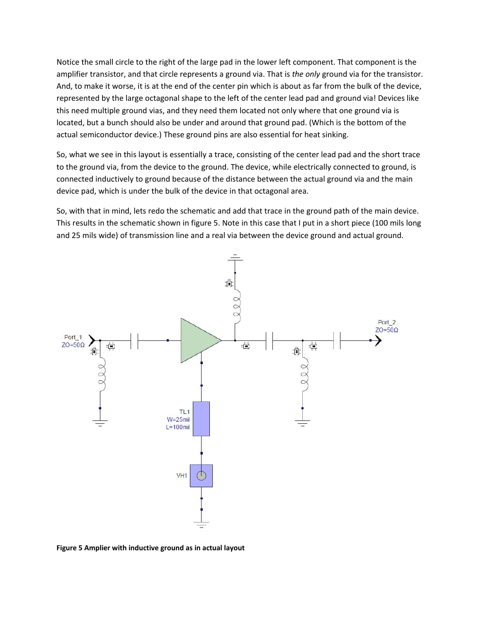Notice the small circle to the right of the large pad in the lower left component. That component is the amplifier transistor, and that circle represents a ground via. That is *the only* ground via for the transistor. And, to make it worse, it is at the end of the center pin which is about as far from the bulk of the device, represented by the large octagonal shape to the left of the center lead pad and ground via! Devices like this need multiple ground vias, and they need them located not only where that one ground via is located, but a bunch should also be under and around that ground pad. (Which is the bottom of the actual semiconductor device.) These ground pins are also essential for heat sinking.

So, what we see in this layout is essentially a trace, consisting of the center lead pad and the short trace to the ground via, from the device to the ground. The device, while electrically connected to ground, is connected inductively to ground because of the distance between the actual ground via and the main device pad, which is under the bulk of the device in that octagonal area.

So, with that in mind, lets redo the schematic and add that trace in the ground path of the main device. This results in the schematic shown in figure 5. Note in this case that I put in a short piece (100 mils long and 25 mils wide) of transmission line and a real via between the device ground and actual ground.



**Figure 5 Amplier with inductive ground as in actual layout**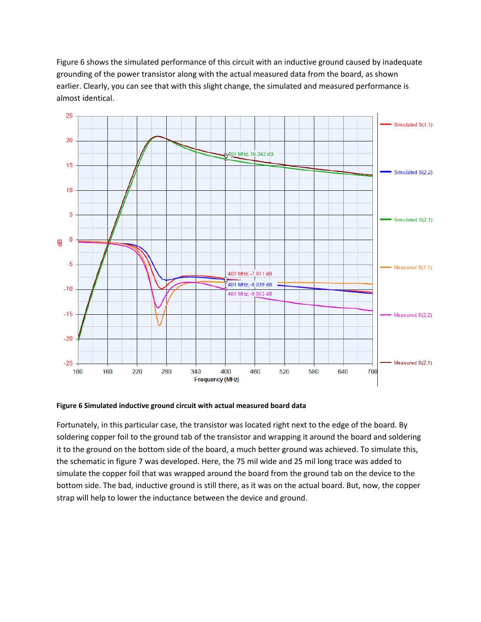Figure 6 shows the simulated performance of this circuit with an inductive ground caused by inadequate grounding of the power transistor along with the actual measured data from the board, as shown earlier. Clearly, you can see that with this slight change, the simulated and measured performance is almost identical.



**Figure 6 Simulated inductive ground circuit with actual measured board data**

Fortunately, in this particular case, the transistor was located right next to the edge of the board. By soldering copper foil to the ground tab of the transistor and wrapping it around the board and soldering it to the ground on the bottom side of the board, a much better ground was achieved. To simulate this, the schematic in figure 7 was developed. Here, the 75 mil wide and 25 mil long trace was added to simulate the copper foil that was wrapped around the board from the ground tab on the device to the bottom side. The bad, inductive ground is still there, as it was on the actual board. But, now, the copper strap will help to lower the inductance between the device and ground.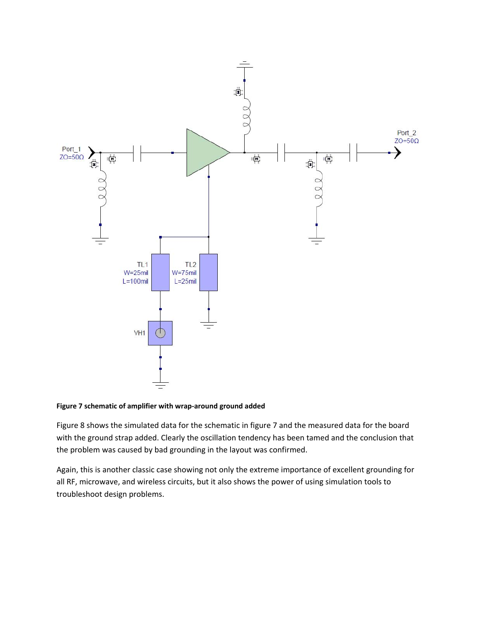

## **Figure 7 schematic of amplifier with wrap-around ground added**

Figure 8 shows the simulated data for the schematic in figure 7 and the measured data for the board with the ground strap added. Clearly the oscillation tendency has been tamed and the conclusion that the problem was caused by bad grounding in the layout was confirmed.

Again, this is another classic case showing not only the extreme importance of excellent grounding for all RF, microwave, and wireless circuits, but it also shows the power of using simulation tools to troubleshoot design problems.